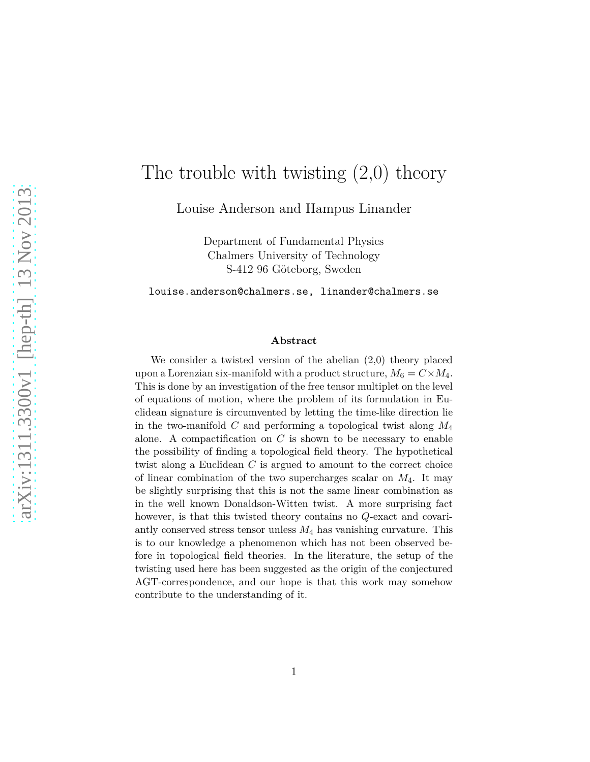# The trouble with twisting (2,0) theory

Louise Anderson and Hampus Linander

Department of Fundamental Physics Chalmers University of Technology S-412 96 Göteborg, Sweden

louise.anderson@chalmers.se, linander@chalmers.se

#### **Abstract**

We consider a twisted version of the abelian (2*,*0) theory placed upon a Lorenzian six-manifold with a product structure,  $M_6 = C \times M_4$ . This is done by an investigation of the free tensor multiplet on the level of equations of motion, where the problem of its formulation in Euclidean signature is circumvented by letting the time-like direction lie in the two-manifold *C* and performing a topological twist along *M*<sup>4</sup> alone. A compactification on  $C$  is shown to be necessary to enable the possibility of finding a topological field theory. The hypothetical twist along a Euclidean *C* is argued to amount to the correct choice of linear combination of the two supercharges scalar on *M*4. It may be slightly surprising that this is not the same linear combination as in the well known Donaldson-Witten twist. A more surprising fact however, is that this twisted theory contains no *Q*-exact and covariantly conserved stress tensor unless *M*<sup>4</sup> has vanishing curvature. This is to our knowledge a phenomenon which has not been observed before in topological field theories. In the literature, the setup of the twisting used here has been suggested as the origin of the conjectured AGT-correspondence, and our hope is that this work may somehow contribute to the understanding of it.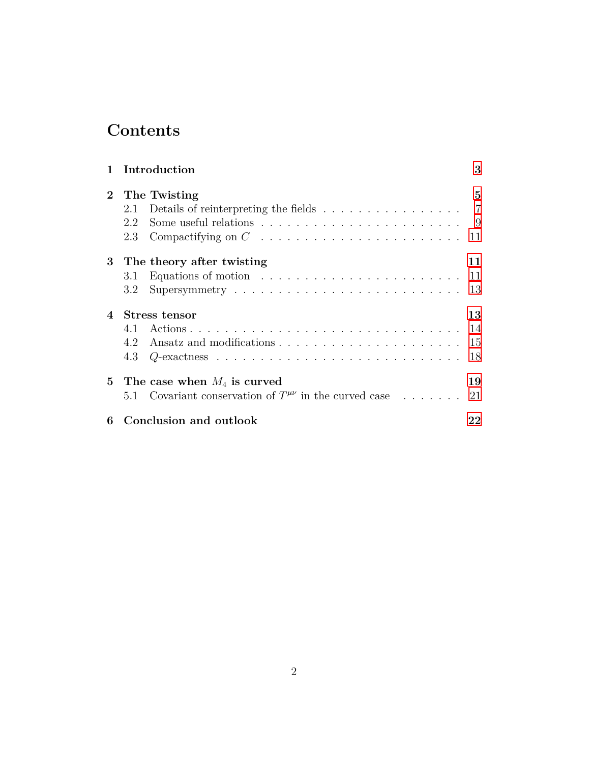# **Contents**

| $\mathbf{1}$          | Introduction                                                                                       | 3           |
|-----------------------|----------------------------------------------------------------------------------------------------|-------------|
| $\mathbf{2}^{\prime}$ | The Twisting<br>Details of reinterpreting the fields $\ldots \ldots \ldots \ldots \ldots$ 7<br>2.1 | $5^{\circ}$ |
|                       | 2.2                                                                                                | - 9         |
|                       | 2.3                                                                                                | 11          |
|                       | 3 The theory after twisting                                                                        | 11          |
|                       | Equations of motion $\ldots \ldots \ldots \ldots \ldots \ldots \ldots \ldots$<br>3.1               | 11          |
|                       | Supersymmetry $\dots \dots \dots \dots \dots \dots \dots \dots \dots \dots$<br>3.2                 | 13          |
| $\overline{4}$        | Stress tensor                                                                                      | 13          |
|                       | 4.1                                                                                                |             |
|                       | 4.2                                                                                                | 15          |
|                       | 4.3                                                                                                | 18          |
|                       | 5 The case when $M_4$ is curved                                                                    | 19          |
|                       | 5.1 Covariant conservation of $T^{\mu\nu}$ in the curved case                                      | 21          |
| 6                     | Conclusion and outlook                                                                             | 22          |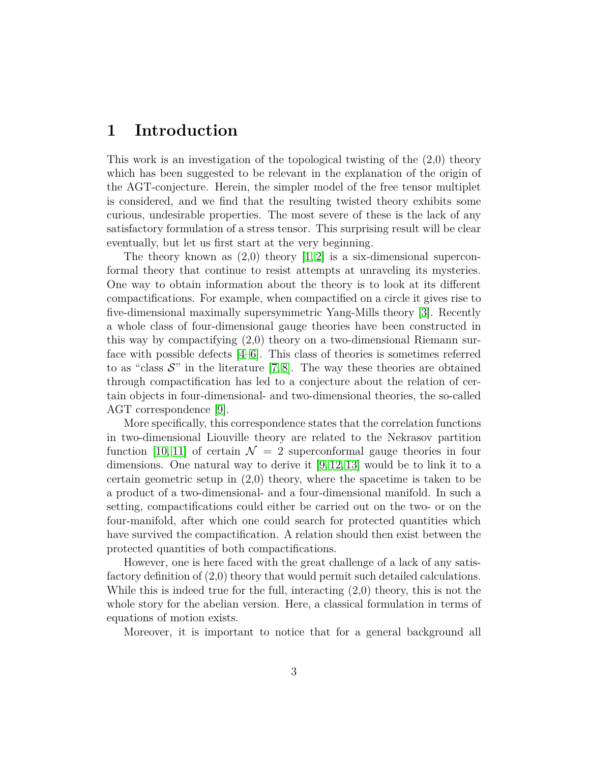# <span id="page-2-0"></span>**1 Introduction**

This work is an investigation of the topological twisting of the (2*,*0) theory which has been suggested to be relevant in the explanation of the origin of the AGT-conjecture. Herein, the simpler model of the free tensor multiplet is considered, and we find that the resulting twisted theory exhibits some curious, undesirable properties. The most severe of these is the lack of any satisfactory formulation of a stress tensor. This surprising result will be clear eventually, but let us first start at the very beginning.

The theory known as (2*,*0) theory [\[1,](#page-22-0) [2\]](#page-22-1) is a six-dimensional superconformal theory that continue to resist attempts at unraveling its mysteries. One way to obtain information about the theory is to look at its different compactifications. For example, when compactified on a circle it gives rise to five-dimensional maximally supersymmetric Yang-Mills theory [\[3\]](#page-22-2). Recently a whole class of four-dimensional gauge theories have been constructed in this way by compactifying (2*,*0) theory on a two-dimensional Riemann surface with possible defects [\[4](#page-22-3)[–6\]](#page-22-4). This class of theories is sometimes referred to as "class  $\mathcal{S}$ " in the literature [\[7,](#page-22-5)8]. The way these theories are obtained through compactification has led to a conjecture about the relation of certain objects in four-dimensional- and two-dimensional theories, the so-called AGT correspondence [\[9\]](#page-23-0).

More specifically, this correspondence states that the correlation functions in two-dimensional Liouville theory are related to the Nekrasov partition function [\[10,](#page-23-1) [11\]](#page-23-2) of certain  $\mathcal{N} = 2$  superconformal gauge theories in four dimensions. One natural way to derive it [\[9,](#page-23-0) [12,](#page-23-3) [13\]](#page-23-4) would be to link it to a certain geometric setup in (2*,*0) theory, where the spacetime is taken to be a product of a two-dimensional- and a four-dimensional manifold. In such a setting, compactifications could either be carried out on the two- or on the four-manifold, after which one could search for protected quantities which have survived the compactification. A relation should then exist between the protected quantities of both compactifications.

However, one is here faced with the great challenge of a lack of any satisfactory definition of (2*,*0) theory that would permit such detailed calculations. While this is indeed true for the full, interacting (2*,*0) theory, this is not the whole story for the abelian version. Here, a classical formulation in terms of equations of motion exists.

Moreover, it is important to notice that for a general background all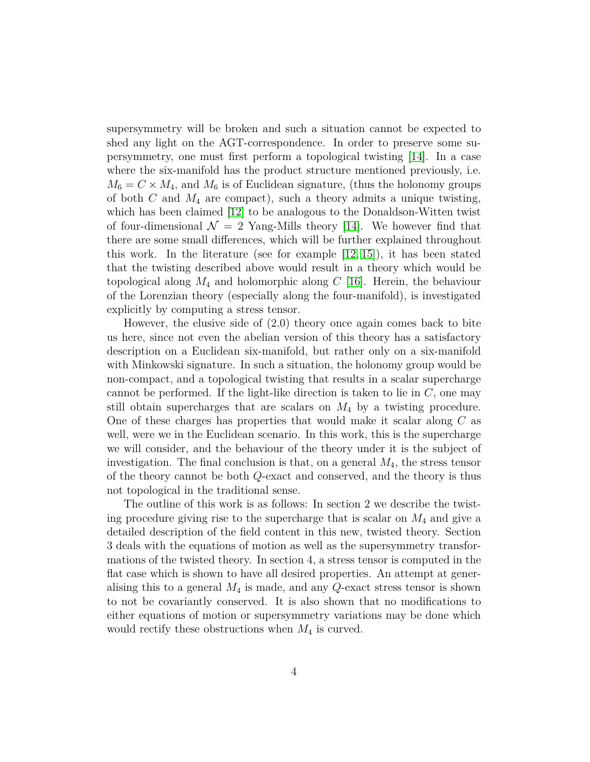supersymmetry will be broken and such a situation cannot be expected to shed any light on the AGT-correspondence. In order to preserve some supersymmetry, one must first perform a topological twisting [\[14\]](#page-23-5). In a case where the six-manifold has the product structure mentioned previously, i.e.  $M_6 = C \times M_4$ , and  $M_6$  is of Euclidean signature, (thus the holonomy groups of both *C* and *M*<sup>4</sup> are compact), such a theory admits a unique twisting, which has been claimed [\[12\]](#page-23-3) to be analogous to the Donaldson-Witten twist of four-dimensional  $\mathcal{N} = 2$  Yang-Mills theory [\[14\]](#page-23-5). We however find that there are some small differences, which will be further explained throughout this work. In the literature (see for example [\[12,](#page-23-3) [15\]](#page-23-6)), it has been stated that the twisting described above would result in a theory which would be topological along *M*<sup>4</sup> and holomorphic along *C* [\[16\]](#page-23-7). Herein, the behaviour of the Lorenzian theory (especially along the four-manifold), is investigated explicitly by computing a stress tensor.

However, the elusive side of (2*,*0) theory once again comes back to bite us here, since not even the abelian version of this theory has a satisfactory description on a Euclidean six-manifold, but rather only on a six-manifold with Minkowski signature. In such a situation, the holonomy group would be non-compact, and a topological twisting that results in a scalar supercharge cannot be performed. If the light-like direction is taken to lie in *C*, one may still obtain supercharges that are scalars on *M*<sup>4</sup> by a twisting procedure. One of these charges has properties that would make it scalar along *C* as well, were we in the Euclidean scenario. In this work, this is the supercharge we will consider, and the behaviour of the theory under it is the subject of investigation. The final conclusion is that, on a general *M*4, the stress tensor of the theory cannot be both *Q*-exact and conserved, and the theory is thus not topological in the traditional sense.

<span id="page-3-0"></span>The outline of this work is as follows: In section 2 we describe the twisting procedure giving rise to the supercharge that is scalar on *M*<sup>4</sup> and give a detailed description of the field content in this new, twisted theory. Section 3 deals with the equations of motion as well as the supersymmetry transformations of the twisted theory. In section 4, a stress tensor is computed in the flat case which is shown to have all desired properties. An attempt at generalising this to a general *M*<sup>4</sup> is made, and any *Q*-exact stress tensor is shown to not be covariantly conserved. It is also shown that no modifications to either equations of motion or supersymmetry variations may be done which would rectify these obstructions when *M*<sup>4</sup> is curved.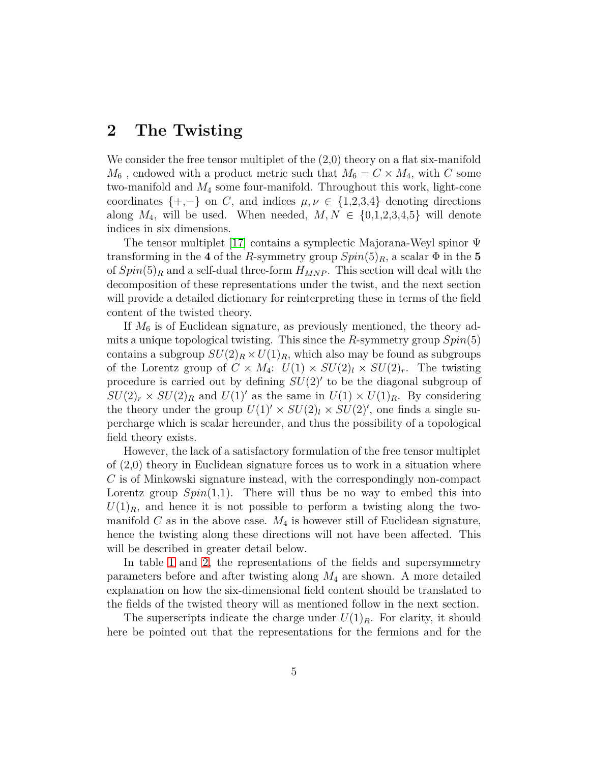# **2 The Twisting**

We consider the free tensor multiplet of the (2*,*0) theory on a flat six-manifold  $M_6$ , endowed with a product metric such that  $M_6 = C \times M_4$ , with *C* some two-manifold and *M*<sup>4</sup> some four-manifold. Throughout this work, light-cone coordinates  $\{+, -\}$  on *C*, and indices  $\mu, \nu \in \{1, 2, 3, 4\}$  denoting directions along  $M_4$ , will be used. When needed,  $M, N \in \{0,1,2,3,4,5\}$  will denote indices in six dimensions.

The tensor multiplet [\[17\]](#page-23-8) contains a symplectic Majorana-Weyl spinor Ψ transforming in the 4 of the *R*-symmetry group  $Spin(5)_R$ , a scalar  $\Phi$  in the 5 of  $Spin(5)<sub>R</sub>$  and a self-dual three-form  $H_{MNP}$ . This section will deal with the decomposition of these representations under the twist, and the next section will provide a detailed dictionary for reinterpreting these in terms of the field content of the twisted theory.

If *M*<sup>6</sup> is of Euclidean signature, as previously mentioned, the theory admits a unique topological twisting. This since the *R*-symmetry group *Spin*(5) contains a subgroup  $SU(2)_R \times U(1)_R$ , which also may be found as subgroups of the Lorentz group of  $C \times M_4$ :  $U(1) \times SU(2)_l \times SU(2)_r$ . The twisting procedure is carried out by defining  $SU(2)$ <sup>'</sup> to be the diagonal subgroup of  $SU(2)_r \times SU(2)_R$  and  $U(1)'$  as the same in  $U(1) \times U(1)_R$ . By considering the theory under the group  $U(1)' \times SU(2)_l \times SU(2)'$ , one finds a single supercharge which is scalar hereunder, and thus the possibility of a topological field theory exists.

However, the lack of a satisfactory formulation of the free tensor multiplet of (2*,*0) theory in Euclidean signature forces us to work in a situation where *C* is of Minkowski signature instead, with the correspondingly non-compact Lorentz group  $Spin(1,1)$ . There will thus be no way to embed this into  $U(1)_R$ , and hence it is not possible to perform a twisting along the twomanifold  $C$  as in the above case.  $M_4$  is however still of Euclidean signature, hence the twisting along these directions will not have been affected. This will be described in greater detail below.

In table [1](#page-5-0) and [2,](#page-5-1) the representations of the fields and supersymmetry parameters before and after twisting along *M*<sup>4</sup> are shown. A more detailed explanation on how the six-dimensional field content should be translated to the fields of the twisted theory will as mentioned follow in the next section.

The superscripts indicate the charge under  $U(1)_R$ . For clarity, it should here be pointed out that the representations for the fermions and for the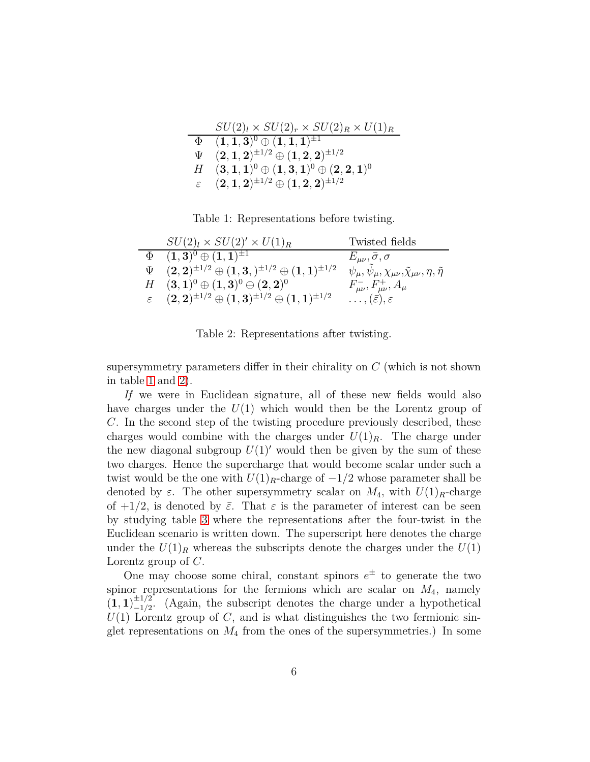|               | $SU(2)_l \times SU(2)_r \times SU(2)_R \times U(1)_R$                                                      |
|---------------|------------------------------------------------------------------------------------------------------------|
|               | $(1,1,3)^0 \oplus (1,1,1)^{\pm 1}$                                                                         |
| Ψ             | $(2,1,2)^{\pm 1/2} \oplus (1,2,2)^{\pm 1/2}$                                                               |
|               | $(3,1,1)^0 \oplus (1,3,1)^0 \oplus (2,2,1)^0$                                                              |
| $\varepsilon$ | $( \mathbf{2}, \mathbf{1}, \mathbf{2} )^{\pm 1/2} \oplus ( \mathbf{1}, \mathbf{2}, \mathbf{2} )^{\pm 1/2}$ |

<span id="page-5-0"></span>Table 1: Representations before twisting.

| $SU(2)_l \times SU(2)' \times U(1)_R$                                             | Twisted fields                                                                 |
|-----------------------------------------------------------------------------------|--------------------------------------------------------------------------------|
| $\Phi$ $(1,3)^0 \oplus (1,1)^{\pm 1}$                                             | $E_{\mu\nu},\bar{\sigma},\sigma$                                               |
| $\Psi$ $(2,2)^{\pm 1/2} \oplus (1,3,)^{\pm 1/2} \oplus (1,1)^{\pm 1/2}$           | $\psi_\mu, \psi_\mu, \chi_{\mu\nu}, \tilde{\chi}_{\mu\nu}, \eta, \tilde{\eta}$ |
| $H \quad (3,1)^0 \oplus (1,3)^0 \oplus (2,2)^0$                                   | $F_{\mu\nu}^-, F_{\mu\nu}^+, A_\mu$                                            |
| $\varepsilon \quad (2,2)^{\pm 1/2} \oplus (1,3)^{\pm 1/2} \oplus (1,1)^{\pm 1/2}$ | $\ldots, (\bar{\varepsilon}), \varepsilon$                                     |

<span id="page-5-1"></span>Table 2: Representations after twisting.

supersymmetry parameters differ in their chirality on *C* (which is not shown in table [1](#page-5-0) and [2\)](#page-5-1).

*If* we were in Euclidean signature, all of these new fields would also have charges under the  $U(1)$  which would then be the Lorentz group of *C*. In the second step of the twisting procedure previously described, these charges would combine with the charges under  $U(1)_R$ . The charge under the new diagonal subgroup  $U(1)'$  would then be given by the sum of these two charges. Hence the supercharge that would become scalar under such a twist would be the one with  $U(1)_R$ -charge of  $-1/2$  whose parameter shall be denoted by  $\varepsilon$ . The other supersymmetry scalar on  $M_4$ , with  $U(1)_R$ -charge of  $+1/2$ , is denoted by  $\bar{\varepsilon}$ . That  $\varepsilon$  is the parameter of interest can be seen by studying table [3](#page-6-1) where the representations after the four-twist in the Euclidean scenario is written down. The superscript here denotes the charge under the  $U(1)_R$  whereas the subscripts denote the charges under the  $U(1)$ Lorentz group of *C*.

One may choose some chiral, constant spinors  $e^{\pm}$  to generate the two spinor representations for the fermions which are scalar on *M*4, namely  $\left(1,1\right)_{-1/2}^{\pm 1/2}$  $\frac{-1}{2}$ . (Again, the subscript denotes the charge under a hypothetical  $U(1)$  Lorentz group of *C*, and is what distinguishes the two fermionic singlet representations on  $M_4$  from the ones of the supersymmetries.) In some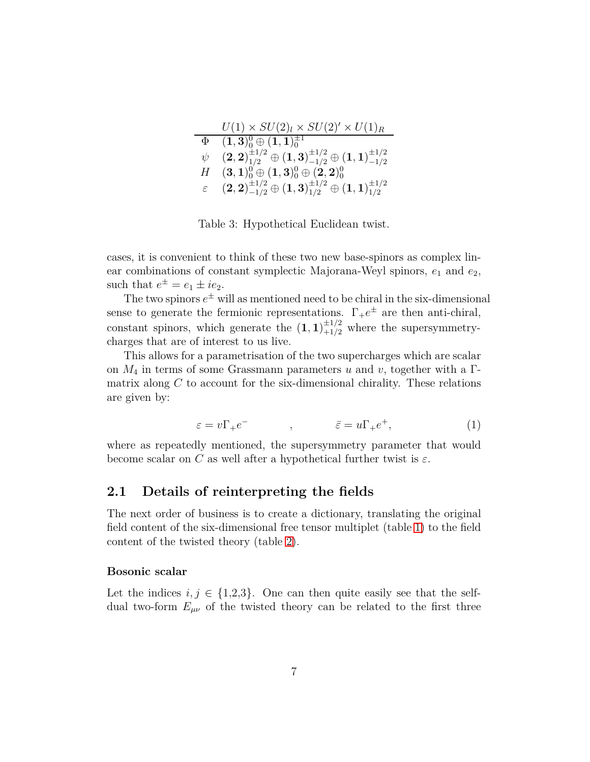|               | $U(1) \times SU(2)_l \times SU(2)' \times U(1)_R$                                                              |
|---------------|----------------------------------------------------------------------------------------------------------------|
| Φ             | $(1,3)_0^0 \oplus (1,1)_0^{\pm 1}$                                                                             |
| ψ             | $\mathbf{(2,2)}_{1/2}^{\pm 1/2} \oplus \mathbf{(1,3)}_{-1/2}^{\pm 1/2} \oplus \mathbf{(1,1)}_{-1/2}^{\pm 1/2}$ |
| Н             | $(3,1)_0^0 \oplus (1,3)_0^0 \oplus (2,2)_0^0$                                                                  |
| $\varepsilon$ | $\mathbf{(2,2)^{\pm 1/2}_{-1/2}\oplus(1,3)^{\pm 1/2}_{1/2}\oplus(1,1)^{\pm 1/2}_{1/2}}$                        |

<span id="page-6-1"></span>Table 3: Hypothetical Euclidean twist.

cases, it is convenient to think of these two new base-spinors as complex linear combinations of constant symplectic Majorana-Weyl spinors,  $e_1$  and  $e_2$ , such that  $e^{\pm} = e_1 \pm ie_2$ .

The two spinors  $e^{\pm}$  will as mentioned need to be chiral in the six-dimensional sense to generate the fermionic representations.  $\Gamma_+e^{\pm}$  are then anti-chiral, constant spinors, which generate the  $(1,1)^{\pm 1/2}_{+1/2}$  where the supersymmetrycharges that are of interest to us live.

This allows for a parametrisation of the two supercharges which are scalar on *M*<sup>4</sup> in terms of some Grassmann parameters *u* and *v*, together with a Γmatrix along *C* to account for the six-dimensional chirality. These relations are given by:

<span id="page-6-2"></span>
$$
\varepsilon = v\Gamma_+e^-\qquad , \qquad \qquad \bar{\varepsilon} = u\Gamma_+e^+, \tag{1}
$$

<span id="page-6-0"></span>where as repeatedly mentioned, the supersymmetry parameter that would become scalar on *C* as well after a hypothetical further twist is  $\varepsilon$ .

### **2.1 Details of reinterpreting the fields**

The next order of business is to create a dictionary, translating the original field content of the six-dimensional free tensor multiplet (table [1\)](#page-5-0) to the field content of the twisted theory (table [2\)](#page-5-1).

#### **Bosonic scalar**

Let the indices  $i, j \in \{1,2,3\}$ . One can then quite easily see that the selfdual two-form  $E_{\mu\nu}$  of the twisted theory can be related to the first three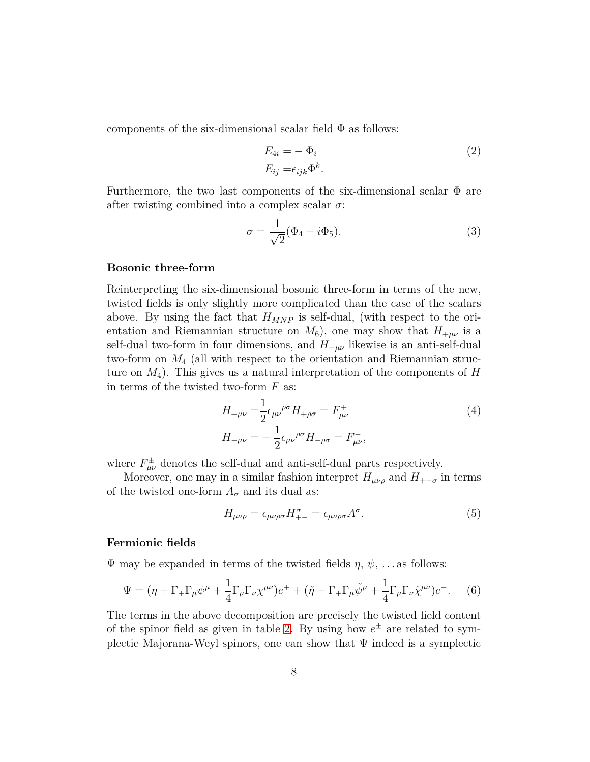components of the six-dimensional scalar field  $\Phi$  as follows:

<span id="page-7-1"></span>
$$
E_{4i} = -\Phi_i
$$
  
\n
$$
E_{ij} = \epsilon_{ijk} \Phi^k.
$$
\n(2)

Furthermore, the two last components of the six-dimensional scalar  $\Phi$  are after twisting combined into a complex scalar *σ*:

$$
\sigma = \frac{1}{\sqrt{2}} (\Phi_4 - i\Phi_5). \tag{3}
$$

#### **Bosonic three-form**

Reinterpreting the six-dimensional bosonic three-form in terms of the new, twisted fields is only slightly more complicated than the case of the scalars above. By using the fact that *HMNP* is self-dual, (with respect to the orientation and Riemannian structure on  $M_6$ ), one may show that  $H_{+\mu\nu}$  is a self-dual two-form in four dimensions, and  $H_{-\mu\nu}$  likewise is an anti-self-dual two-form on *M*<sup>4</sup> (all with respect to the orientation and Riemannian structure on  $M_4$ ). This gives us a natural interpretation of the components of  $H$ in terms of the twisted two-form *F* as:

$$
H_{+\mu\nu} = \frac{1}{2} \epsilon_{\mu\nu}^{\ \rho\sigma} H_{+\rho\sigma} = F_{\mu\nu}^{+}
$$
  
\n
$$
H_{-\mu\nu} = -\frac{1}{2} \epsilon_{\mu\nu}^{\ \rho\sigma} H_{-\rho\sigma} = F_{\mu\nu}^{-},
$$
\n(4)

where  $F^{\pm}_{\mu\nu}$  denotes the self-dual and anti-self-dual parts respectively.

Moreover, one may in a similar fashion interpret  $H_{\mu\nu\rho}$  and  $H_{+-\sigma}$  in terms of the twisted one-form  $A_{\sigma}$  and its dual as:

$$
H_{\mu\nu\rho} = \epsilon_{\mu\nu\rho\sigma} H^{\sigma}_{+-} = \epsilon_{\mu\nu\rho\sigma} A^{\sigma}.
$$
\n(5)

#### **Fermionic fields**

 $\Psi$  may be expanded in terms of the twisted fields  $\eta$ ,  $\psi$ , ... as follows:

<span id="page-7-0"></span>
$$
\Psi = (\eta + \Gamma_+ \Gamma_\mu \psi^\mu + \frac{1}{4} \Gamma_\mu \Gamma_\nu \chi^{\mu\nu}) e^+ + (\tilde{\eta} + \Gamma_+ \Gamma_\mu \tilde{\psi}^\mu + \frac{1}{4} \Gamma_\mu \Gamma_\nu \tilde{\chi}^{\mu\nu}) e^-.
$$
 (6)

The terms in the above decomposition are precisely the twisted field content of the spinor field as given in table [2.](#page-5-1) By using how  $e^{\pm}$  are related to symplectic Majorana-Weyl spinors, one can show that  $\Psi$  indeed is a symplectic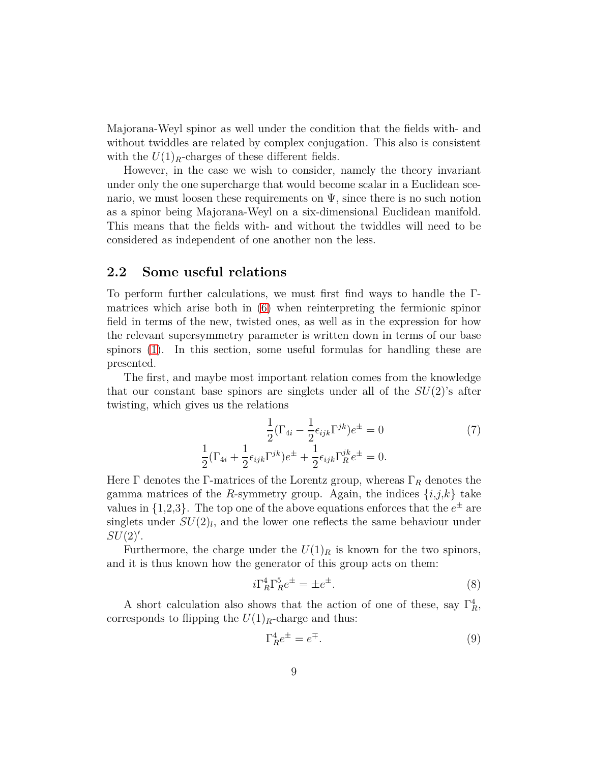Majorana-Weyl spinor as well under the condition that the fields with- and without twiddles are related by complex conjugation. This also is consistent with the  $U(1)_R$ -charges of these different fields.

However, in the case we wish to consider, namely the theory invariant under only the one supercharge that would become scalar in a Euclidean scenario, we must loosen these requirements on  $\Psi$ , since there is no such notion as a spinor being Majorana-Weyl on a six-dimensional Euclidean manifold. This means that the fields with- and without the twiddles will need to be considered as independent of one another non the less.

#### <span id="page-8-0"></span>**2.2 Some useful relations**

To perform further calculations, we must first find ways to handle the Γmatrices which arise both in [\(6\)](#page-7-0) when reinterpreting the fermionic spinor field in terms of the new, twisted ones, as well as in the expression for how the relevant supersymmetry parameter is written down in terms of our base spinors [\(1\)](#page-6-2). In this section, some useful formulas for handling these are presented.

The first, and maybe most important relation comes from the knowledge that our constant base spinors are singlets under all of the *SU*(2)'s after twisting, which gives us the relations

$$
\frac{1}{2}(\Gamma_{4i} - \frac{1}{2}\epsilon_{ijk}\Gamma^{jk})e^{\pm} = 0
$$
\n
$$
\frac{1}{2}(\Gamma_{4i} + \frac{1}{2}\epsilon_{ijk}\Gamma^{jk})e^{\pm} + \frac{1}{2}\epsilon_{ijk}\Gamma^{jk}_{R}e^{\pm} = 0.
$$
\n(7)

Here Γ denotes the Γ-matrices of the Lorentz group, whereas Γ*<sup>R</sup>* denotes the gamma matrices of the *R*-symmetry group. Again, the indices  $\{i,j,k\}$  take values in  $\{1,2,3\}$ . The top one of the above equations enforces that the  $e^{\pm}$  are singlets under  $SU(2)_l$ , and the lower one reflects the same behaviour under *SU*(2)′ .

Furthermore, the charge under the  $U(1)_R$  is known for the two spinors, and it is thus known how the generator of this group acts on them:

$$
i\Gamma_R^4 \Gamma_R^5 e^{\pm} = \pm e^{\pm}.
$$
 (8)

A short calculation also shows that the action of one of these, say  $\Gamma_R^4$ , corresponds to flipping the  $U(1)_R$ -charge and thus:

$$
\Gamma_R^4 e^{\pm} = e^{\mp}.
$$
 (9)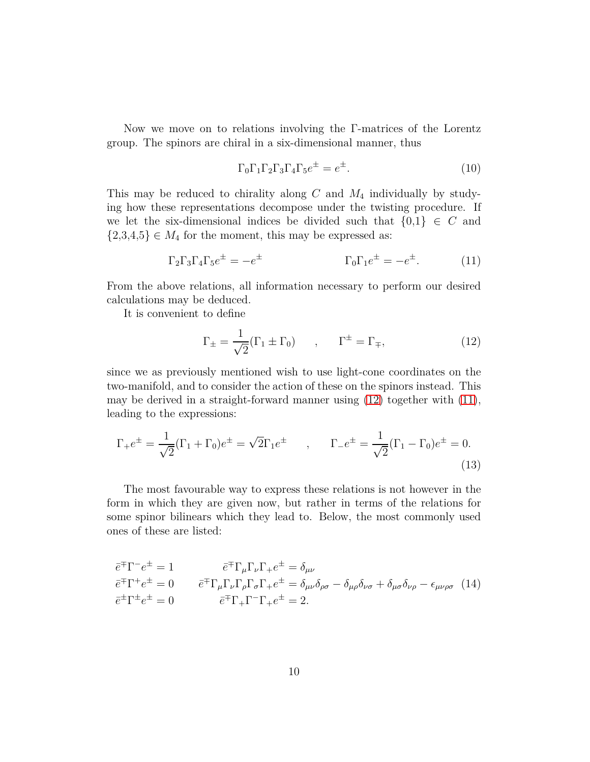Now we move on to relations involving the Γ-matrices of the Lorentz group. The spinors are chiral in a six-dimensional manner, thus

<span id="page-9-2"></span>
$$
\Gamma_0 \Gamma_1 \Gamma_2 \Gamma_3 \Gamma_4 \Gamma_5 e^{\pm} = e^{\pm}.
$$
 (10)

This may be reduced to chirality along *C* and *M*<sup>4</sup> individually by studying how these representations decompose under the twisting procedure. If we let the six-dimensional indices be divided such that  $\{0,1\} \in C$  and  $\{2,3,4,5\} \in M_4$  for the moment, this may be expressed as:

$$
\Gamma_2 \Gamma_3 \Gamma_4 \Gamma_5 e^{\pm} = -e^{\pm} \qquad \qquad \Gamma_0 \Gamma_1 e^{\pm} = -e^{\pm}. \qquad (11)
$$

From the above relations, all information necessary to perform our desired calculations may be deduced.

It is convenient to define

<span id="page-9-1"></span>
$$
\Gamma_{\pm} = \frac{1}{\sqrt{2}} (\Gamma_1 \pm \Gamma_0) \qquad , \qquad \Gamma^{\pm} = \Gamma_{\mp}, \tag{12}
$$

since we as previously mentioned wish to use light-cone coordinates on the two-manifold, and to consider the action of these on the spinors instead. This may be derived in a straight-forward manner using [\(12\)](#page-9-1) together with [\(11\)](#page-9-2), leading to the expressions:

$$
\Gamma_{+}e^{\pm} = \frac{1}{\sqrt{2}}(\Gamma_{1} + \Gamma_{0})e^{\pm} = \sqrt{2}\Gamma_{1}e^{\pm} \qquad , \qquad \Gamma_{-}e^{\pm} = \frac{1}{\sqrt{2}}(\Gamma_{1} - \Gamma_{0})e^{\pm} = 0.
$$
\n(13)

The most favourable way to express these relations is not however in the form in which they are given now, but rather in terms of the relations for some spinor bilinears which they lead to. Below, the most commonly used ones of these are listed:

<span id="page-9-3"></span><span id="page-9-0"></span>
$$
\overline{e}^{\mp} \Gamma^{-} e^{\pm} = 1 \qquad \qquad \overline{e}^{\mp} \Gamma_{\mu} \Gamma_{\nu} \Gamma_{+} e^{\pm} = \delta_{\mu \nu} \n\overline{e}^{\mp} \Gamma^{+} e^{\pm} = 0 \qquad \qquad \overline{e}^{\mp} \Gamma_{\mu} \Gamma_{\nu} \Gamma_{\rho} \Gamma_{\sigma} \Gamma_{+} e^{\pm} = \delta_{\mu \nu} \delta_{\rho \sigma} - \delta_{\mu \rho} \delta_{\nu \sigma} + \delta_{\mu \sigma} \delta_{\nu \rho} - \epsilon_{\mu \nu \rho \sigma} \quad (14) \n\overline{e}^{\pm} \Gamma^{\pm} e^{\pm} = 0 \qquad \qquad \overline{e}^{\mp} \Gamma_{+} \Gamma^{-} \Gamma_{+} e^{\pm} = 2.
$$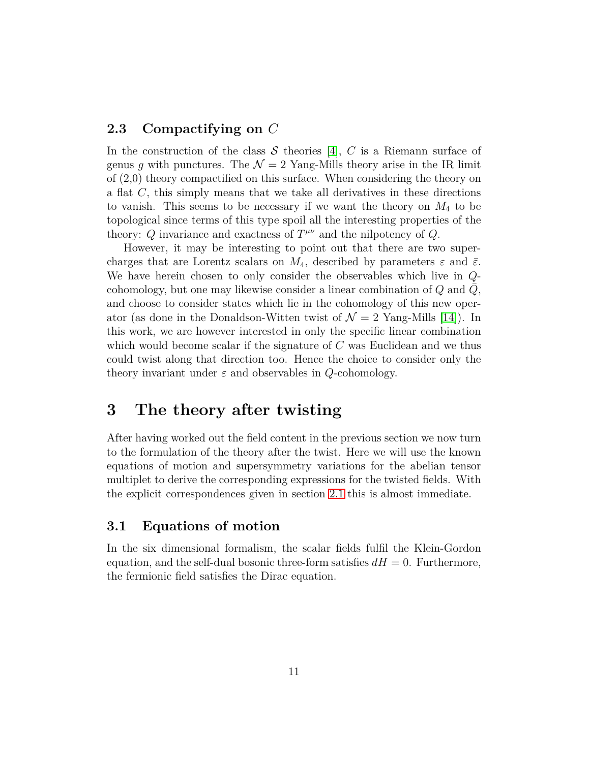### **2.3 Compactifying on** *C*

In the construction of the class  $S$  theories [\[4\]](#page-22-3),  $C$  is a Riemann surface of genus q with punctures. The  $\mathcal{N} = 2$  Yang-Mills theory arise in the IR limit of (2*,*0) theory compactified on this surface. When considering the theory on a flat *C*, this simply means that we take all derivatives in these directions to vanish. This seems to be necessary if we want the theory on *M*<sup>4</sup> to be topological since terms of this type spoil all the interesting properties of the theory:  $Q$  invariance and exactness of  $T^{\mu\nu}$  and the nilpotency of  $Q$ .

However, it may be interesting to point out that there are two supercharges that are Lorentz scalars on  $M_4$ , described by parameters  $\varepsilon$  and  $\bar{\varepsilon}$ . We have herein chosen to only consider the observables which live in *Q*cohomology, but one may likewise consider a linear combination of  $Q$  and  $Q$ , and choose to consider states which lie in the cohomology of this new operator (as done in the Donaldson-Witten twist of  $\mathcal{N} = 2$  Yang-Mills [\[14\]](#page-23-5)). In this work, we are however interested in only the specific linear combination which would become scalar if the signature of *C* was Euclidean and we thus could twist along that direction too. Hence the choice to consider only the theory invariant under *ε* and observables in *Q*-cohomology.

# <span id="page-10-0"></span>**3 The theory after twisting**

After having worked out the field content in the previous section we now turn to the formulation of the theory after the twist. Here we will use the known equations of motion and supersymmetry variations for the abelian tensor multiplet to derive the corresponding expressions for the twisted fields. With the explicit correspondences given in section [2.1](#page-6-0) this is almost immediate.

#### <span id="page-10-1"></span>**3.1 Equations of motion**

In the six dimensional formalism, the scalar fields fulfil the Klein-Gordon equation, and the self-dual bosonic three-form satisfies  $dH = 0$ . Furthermore, the fermionic field satisfies the Dirac equation.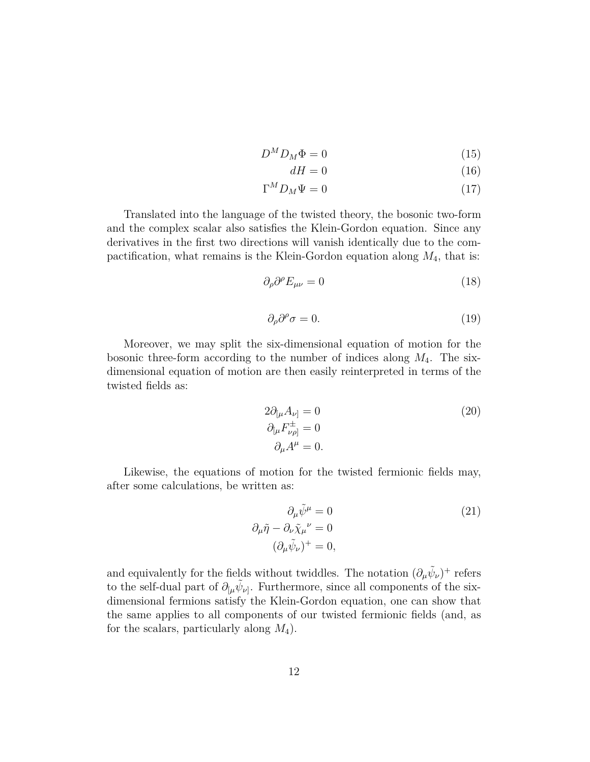$$
D^M D_M \Phi = 0 \tag{15}
$$

$$
dH = 0 \tag{16}
$$

$$
\Gamma^M D_M \Psi = 0 \tag{17}
$$

Translated into the language of the twisted theory, the bosonic two-form and the complex scalar also satisfies the Klein-Gordon equation. Since any derivatives in the first two directions will vanish identically due to the compactification, what remains is the Klein-Gordon equation along *M*4, that is:

<span id="page-11-1"></span>
$$
\partial_{\rho}\partial^{\rho}E_{\mu\nu} = 0 \tag{18}
$$

<span id="page-11-2"></span>
$$
\partial_{\rho}\partial^{\rho}\sigma = 0. \tag{19}
$$

Moreover, we may split the six-dimensional equation of motion for the bosonic three-form according to the number of indices along *M*4. The sixdimensional equation of motion are then easily reinterpreted in terms of the twisted fields as:

<span id="page-11-3"></span>
$$
2\partial_{\left[\mu \right.} A_{\nu\right]} = 0
$$
  
\n
$$
\partial_{\left[\mu \right.} F^{\pm}_{\nu\rho\right]} = 0
$$
  
\n
$$
\partial_{\mu} A^{\mu} = 0.
$$
\n(20)

Likewise, the equations of motion for the twisted fermionic fields may, after some calculations, be written as:

<span id="page-11-4"></span>
$$
\partial_{\mu}\tilde{\psi}^{\mu} = 0
$$
\n
$$
\partial_{\mu}\tilde{\eta} - \partial_{\nu}\tilde{\chi}_{\mu}{}^{\nu} = 0
$$
\n
$$
(\partial_{\mu}\tilde{\psi}_{\nu})^{+} = 0,
$$
\n(21)

<span id="page-11-0"></span>and equivalently for the fields without twiddles. The notation  $(\partial_{\mu}\tilde{\psi}_{\nu})^{+}$  refers to the self-dual part of  $\partial_{\mu} \tilde{\psi}_{\nu}$ . Furthermore, since all components of the sixdimensional fermions satisfy the Klein-Gordon equation, one can show that the same applies to all components of our twisted fermionic fields (and, as for the scalars, particularly along *M*4).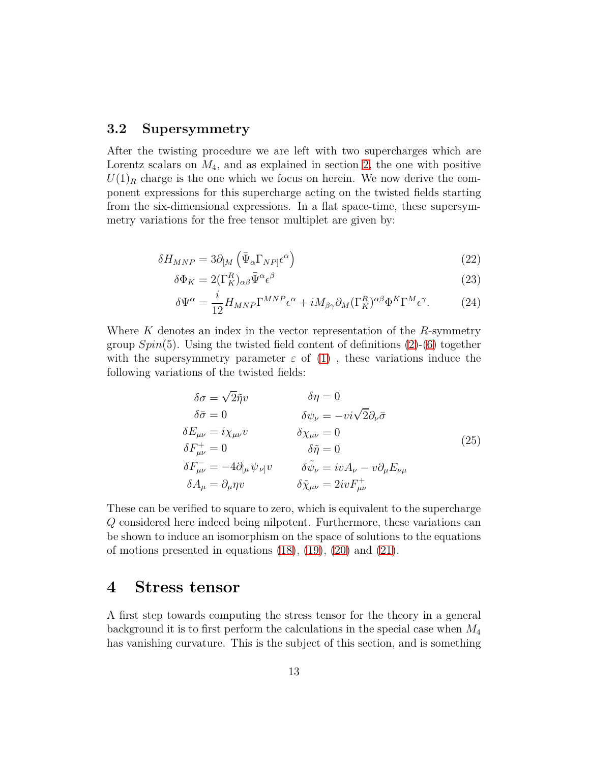#### **3.2 Supersymmetry**

After the twisting procedure we are left with two supercharges which are Lorentz scalars on *M*4, and as explained in section [2,](#page-3-0) the one with positive  $U(1)_R$  charge is the one which we focus on herein. We now derive the component expressions for this supercharge acting on the twisted fields starting from the six-dimensional expressions. In a flat space-time, these supersymmetry variations for the free tensor multiplet are given by:

$$
\delta H_{MNP} = 3\partial_{[M} \left( \bar{\Psi}_{\alpha} \Gamma_{NP} \epsilon^{\alpha} \right) \tag{22}
$$

$$
\delta \Phi_K = 2(\Gamma_K^R)_{\alpha\beta} \bar{\Psi}^{\alpha} \epsilon^{\beta} \tag{23}
$$

$$
\delta \Psi^{\alpha} = \frac{i}{12} H_{MNP} \Gamma^{MNP} \epsilon^{\alpha} + i M_{\beta \gamma} \partial_M (\Gamma_K^R)^{\alpha \beta} \Phi^K \Gamma^M \epsilon^{\gamma}.
$$
 (24)

Where *K* denotes an index in the vector representation of the *R*-symmetry group  $Spin(5)$ . Using the twisted field content of definitions  $(2)-(6)$  $(2)-(6)$  together with the supersymmetry parameter  $\varepsilon$  of [\(1\)](#page-6-2), these variations induce the following variations of the twisted fields:

<span id="page-12-1"></span>
$$
\delta \sigma = \sqrt{2} \tilde{\eta} v \qquad \delta \eta = 0
$$
  
\n
$$
\delta \bar{\sigma} = 0 \qquad \delta \psi_{\nu} = -v i \sqrt{2} \partial_{\nu} \bar{\sigma}
$$
  
\n
$$
\delta E_{\mu\nu} = i \chi_{\mu\nu} v \qquad \delta \chi_{\mu\nu} = 0
$$
  
\n
$$
\delta F_{\mu\nu}^+ = 0 \qquad \delta \tilde{\eta} = 0
$$
  
\n
$$
\delta F_{\mu\nu}^- = -4 \partial_{[\mu} \psi_{\nu]} v \qquad \delta \tilde{\psi}_{\nu} = i v A_{\nu} - v \partial_{\mu} E_{\nu \mu}
$$
  
\n
$$
\delta A_{\mu} = \partial_{\mu} \eta v \qquad \delta \tilde{\chi}_{\mu\nu} = 2 i v F_{\mu\nu}^+
$$
\n(25)

These can be verified to square to zero, which is equivalent to the supercharge *Q* considered here indeed being nilpotent. Furthermore, these variations can be shown to induce an isomorphism on the space of solutions to the equations of motions presented in equations  $(18)$ ,  $(19)$ ,  $(20)$  and  $(21)$ .

### <span id="page-12-0"></span>**4 Stress tensor**

A first step towards computing the stress tensor for the theory in a general background it is to first perform the calculations in the special case when *M*<sup>4</sup> has vanishing curvature. This is the subject of this section, and is something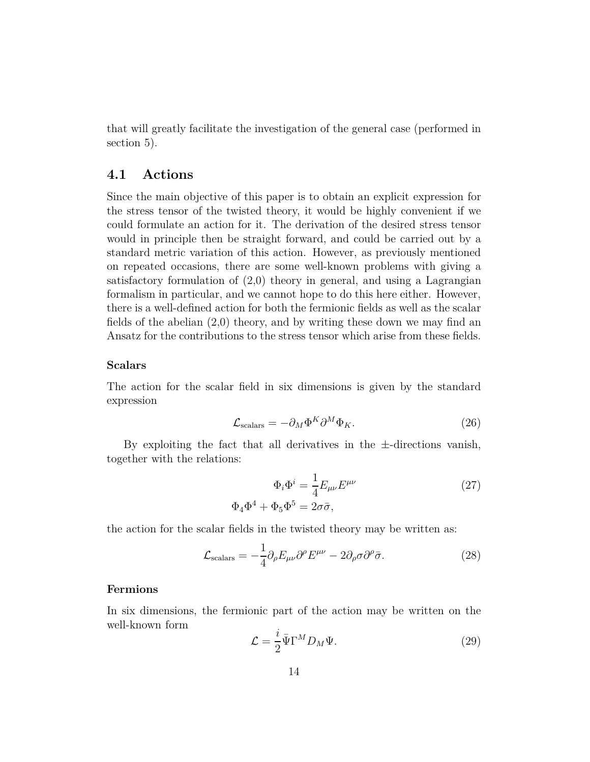<span id="page-13-0"></span>that will greatly facilitate the investigation of the general case (performed in section 5).

### **4.1 Actions**

Since the main objective of this paper is to obtain an explicit expression for the stress tensor of the twisted theory, it would be highly convenient if we could formulate an action for it. The derivation of the desired stress tensor would in principle then be straight forward, and could be carried out by a standard metric variation of this action. However, as previously mentioned on repeated occasions, there are some well-known problems with giving a satisfactory formulation of (2*,*0) theory in general, and using a Lagrangian formalism in particular, and we cannot hope to do this here either. However, there is a well-defined action for both the fermionic fields as well as the scalar fields of the abelian (2*,*0) theory, and by writing these down we may find an Ansatz for the contributions to the stress tensor which arise from these fields.

#### **Scalars**

The action for the scalar field in six dimensions is given by the standard expression

$$
\mathcal{L}_{\text{scalars}} = -\partial_M \Phi^K \partial^M \Phi_K. \tag{26}
$$

By exploiting the fact that all derivatives in the  $\pm$ -directions vanish, together with the relations:

$$
\Phi_i \Phi^i = \frac{1}{4} E_{\mu\nu} E^{\mu\nu}
$$
\n
$$
\Phi_4 \Phi^4 + \Phi_5 \Phi^5 = 2\sigma \bar{\sigma},
$$
\n(27)

the action for the scalar fields in the twisted theory may be written as:

$$
\mathcal{L}_{\text{scalars}} = -\frac{1}{4} \partial_{\rho} E_{\mu\nu} \partial^{\rho} E^{\mu\nu} - 2 \partial_{\rho} \sigma \partial^{\rho} \bar{\sigma}.
$$
 (28)

#### **Fermions**

In six dimensions, the fermionic part of the action may be written on the well-known form

<span id="page-13-1"></span>
$$
\mathcal{L} = \frac{i}{2} \bar{\Psi} \Gamma^M D_M \Psi.
$$
 (29)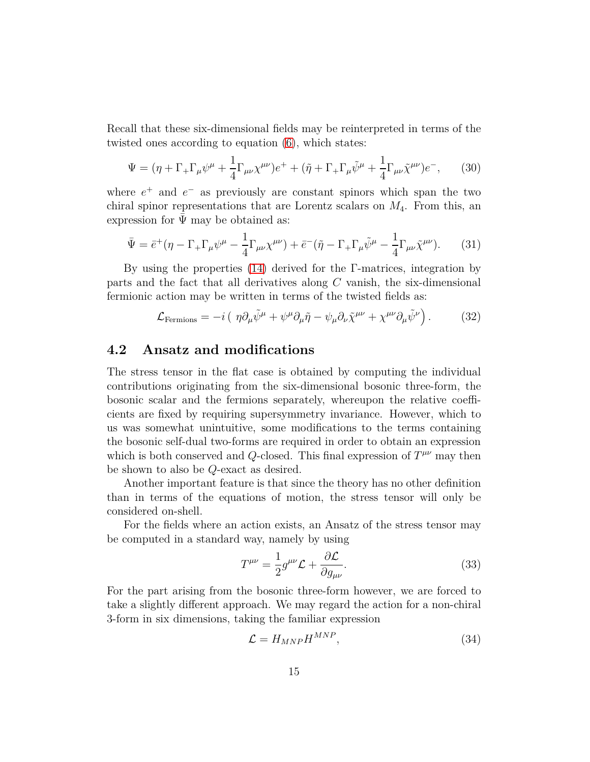Recall that these six-dimensional fields may be reinterpreted in terms of the twisted ones according to equation [\(6\)](#page-7-0), which states:

$$
\Psi = (\eta + \Gamma_+ \Gamma_\mu \psi^\mu + \frac{1}{4} \Gamma_{\mu\nu} \chi^{\mu\nu}) e^+ + (\tilde{\eta} + \Gamma_+ \Gamma_\mu \tilde{\psi}^\mu + \frac{1}{4} \Gamma_{\mu\nu} \tilde{\chi}^{\mu\nu}) e^-, \quad (30)
$$

where  $e^+$  and  $e^-$  as previously are constant spinors which span the two chiral spinor representations that are Lorentz scalars on *M*4. From this, an expression for  $\Psi$  may be obtained as:

$$
\bar{\Psi} = \bar{e}^+(\eta - \Gamma_+\Gamma_\mu\psi^\mu - \frac{1}{4}\Gamma_{\mu\nu}\chi^{\mu\nu}) + \bar{e}^-(\tilde{\eta} - \Gamma_+\Gamma_\mu\tilde{\psi}^\mu - \frac{1}{4}\Gamma_{\mu\nu}\tilde{\chi}^{\mu\nu}).
$$
 (31)

By using the properties [\(14\)](#page-9-3) derived for the Γ-matrices, integration by parts and the fact that all derivatives along *C* vanish, the six-dimensional fermionic action may be written in terms of the twisted fields as:

<span id="page-14-2"></span>
$$
\mathcal{L}_{\text{Fermions}} = -i \left( \eta \partial_{\mu} \tilde{\psi}^{\mu} + \psi^{\mu} \partial_{\mu} \tilde{\eta} - \psi_{\mu} \partial_{\nu} \tilde{\chi}^{\mu \nu} + \chi^{\mu \nu} \partial_{\mu} \tilde{\psi}^{\nu} \right). \tag{32}
$$

### <span id="page-14-0"></span>**4.2 Ansatz and modifications**

The stress tensor in the flat case is obtained by computing the individual contributions originating from the six-dimensional bosonic three-form, the bosonic scalar and the fermions separately, whereupon the relative coefficients are fixed by requiring supersymmetry invariance. However, which to us was somewhat unintuitive, some modifications to the terms containing the bosonic self-dual two-forms are required in order to obtain an expression which is both conserved and *Q*-closed. This final expression of  $T^{\mu\nu}$  may then be shown to also be *Q*-exact as desired.

Another important feature is that since the theory has no other definition than in terms of the equations of motion, the stress tensor will only be considered on-shell.

For the fields where an action exists, an Ansatz of the stress tensor may be computed in a standard way, namely by using

<span id="page-14-1"></span>
$$
T^{\mu\nu} = \frac{1}{2} g^{\mu\nu} \mathcal{L} + \frac{\partial \mathcal{L}}{\partial g_{\mu\nu}}.
$$
 (33)

For the part arising from the bosonic three-form however, we are forced to take a slightly different approach. We may regard the action for a non-chiral 3-form in six dimensions, taking the familiar expression

$$
\mathcal{L} = H_{MNP} H^{MNP},\tag{34}
$$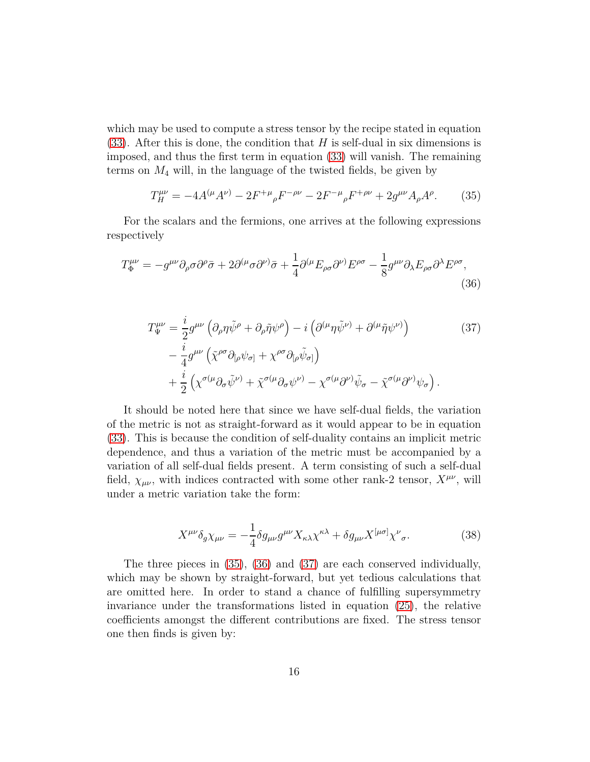which may be used to compute a stress tensor by the recipe stated in equation [\(33\)](#page-14-1). After this is done, the condition that *H* is self-dual in six dimensions is imposed, and thus the first term in equation [\(33\)](#page-14-1) will vanish. The remaining terms on  $M_4$  will, in the language of the twisted fields, be given by

<span id="page-15-0"></span>
$$
T_H^{\mu\nu} = -4A^{(\mu}A^{\nu)} - 2F^{+\mu}{}_{\rho}F^{-\rho\nu} - 2F^{-\mu}{}_{\rho}F^{+\rho\nu} + 2g^{\mu\nu}A_{\rho}A^{\rho}.
$$
 (35)

For the scalars and the fermions, one arrives at the following expressions respectively

$$
T^{\mu\nu}_{\Phi} = -g^{\mu\nu}\partial_{\rho}\sigma\partial^{\rho}\bar{\sigma} + 2\partial^{(\mu}\sigma\partial^{\nu)}\bar{\sigma} + \frac{1}{4}\partial^{(\mu}E_{\rho\sigma}\partial^{\nu)}E^{\rho\sigma} - \frac{1}{8}g^{\mu\nu}\partial_{\lambda}E_{\rho\sigma}\partial^{\lambda}E^{\rho\sigma},\tag{36}
$$

<span id="page-15-2"></span><span id="page-15-1"></span>
$$
T_{\Psi}^{\mu\nu} = \frac{i}{2} g^{\mu\nu} \left( \partial_{\rho} \eta \tilde{\psi}^{\rho} + \partial_{\rho} \tilde{\eta} \psi^{\rho} \right) - i \left( \partial^{(\mu} \eta \tilde{\psi}^{\nu)} + \partial^{(\mu} \tilde{\eta} \psi^{\nu)} \right) - \frac{i}{4} g^{\mu\nu} \left( \tilde{\chi}^{\rho\sigma} \partial_{[\rho} \psi_{\sigma]} + \chi^{\rho\sigma} \partial_{[\rho} \tilde{\psi}_{\sigma]} \right) + \frac{i}{2} \left( \chi^{\sigma(\mu} \partial_{\sigma} \tilde{\psi}^{\nu)} + \tilde{\chi}^{\sigma(\mu} \partial_{\sigma} \psi^{\nu)} - \chi^{\sigma(\mu} \partial^{\nu)} \tilde{\psi}_{\sigma} - \tilde{\chi}^{\sigma(\mu} \partial^{\nu)} \psi_{\sigma} \right).
$$
 (37)

It should be noted here that since we have self-dual fields, the variation of the metric is not as straight-forward as it would appear to be in equation [\(33\)](#page-14-1). This is because the condition of self-duality contains an implicit metric dependence, and thus a variation of the metric must be accompanied by a variation of all self-dual fields present. A term consisting of such a self-dual field,  $\chi_{\mu\nu}$ , with indices contracted with some other rank-2 tensor,  $X^{\mu\nu}$ , will under a metric variation take the form:

$$
X^{\mu\nu}\delta_g\chi_{\mu\nu} = -\frac{1}{4}\delta g_{\mu\nu}g^{\mu\nu}X_{\kappa\lambda}\chi^{\kappa\lambda} + \delta g_{\mu\nu}X^{[\mu\sigma]}\chi^{\nu}{}_{\sigma}.\tag{38}
$$

The three pieces in [\(35\)](#page-15-0), [\(36\)](#page-15-1) and [\(37\)](#page-15-2) are each conserved individually, which may be shown by straight-forward, but yet tedious calculations that are omitted here. In order to stand a chance of fulfilling supersymmetry invariance under the transformations listed in equation [\(25\)](#page-12-1), the relative coefficients amongst the different contributions are fixed. The stress tensor one then finds is given by: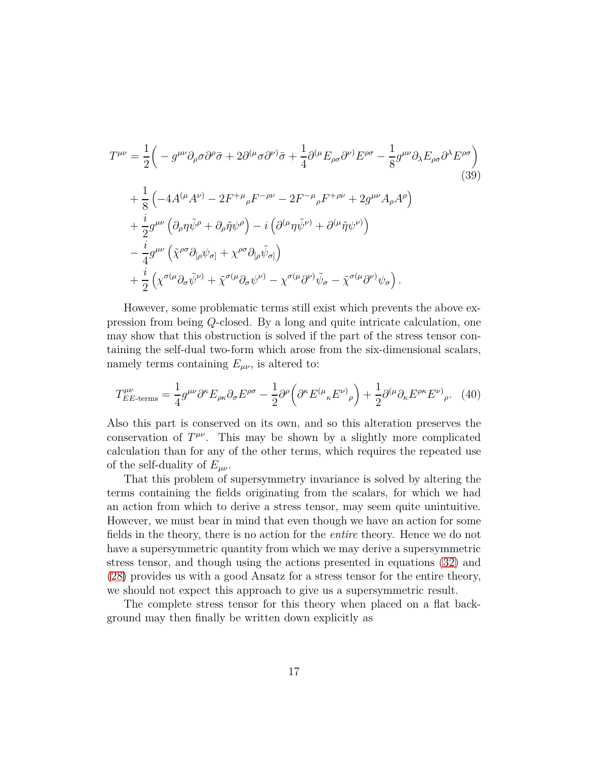$$
T^{\mu\nu} = \frac{1}{2} \Big( -g^{\mu\nu} \partial_{\rho} \sigma \partial^{\rho} \bar{\sigma} + 2 \partial^{(\mu} \sigma \partial^{\nu)} \bar{\sigma} + \frac{1}{4} \partial^{(\mu} E_{\rho \sigma} \partial^{\nu)} E^{\rho \sigma} - \frac{1}{8} g^{\mu\nu} \partial_{\lambda} E_{\rho \sigma} \partial^{\lambda} E^{\rho \sigma} \Big)
$$
  
+ 
$$
\frac{1}{8} \Big( -4 A^{(\mu} A^{\nu)} - 2 F^{+\mu}{}_{\rho} F^{-\rho \nu} - 2 F^{-\mu}{}_{\rho} F^{+\rho \nu} + 2 g^{\mu\nu} A_{\rho} A^{\rho} \Big)
$$
  
+ 
$$
\frac{i}{2} g^{\mu\nu} \Big( \partial_{\rho} \eta \tilde{\psi}^{\rho} + \partial_{\rho} \tilde{\eta} \psi^{\rho} \Big) - i \Big( \partial^{(\mu} \eta \tilde{\psi}^{\nu)} + \partial^{(\mu} \tilde{\eta} \psi^{\nu)} \Big)
$$
  
- 
$$
\frac{i}{4} g^{\mu\nu} \Big( \tilde{\chi}^{\rho \sigma} \partial_{[\rho} \psi_{\sigma]} + \chi^{\rho \sigma} \partial_{[\rho} \tilde{\psi}_{\sigma]} \Big)
$$
  
+ 
$$
\frac{i}{2} \Big( \chi^{\sigma(\mu} \partial_{\sigma} \tilde{\psi}^{\nu)} + \tilde{\chi}^{\sigma(\mu} \partial_{\sigma} \psi^{\nu)} - \chi^{\sigma(\mu} \partial^{\nu)} \tilde{\psi}_{\sigma} - \tilde{\chi}^{\sigma(\mu} \partial^{\nu)} \psi_{\sigma} \Big).
$$
 (39)

However, some problematic terms still exist which prevents the above expression from being *Q*-closed. By a long and quite intricate calculation, one may show that this obstruction is solved if the part of the stress tensor containing the self-dual two-form which arose from the six-dimensional scalars, namely terms containing  $E_{\mu\nu}$ , is altered to:

$$
T_{EE\text{-terms}}^{\mu\nu} = \frac{1}{4} g^{\mu\nu} \partial^{\kappa} E_{\rho\kappa} \partial_{\sigma} E^{\rho\sigma} - \frac{1}{2} \partial^{\rho} \left( \partial^{\kappa} E^{(\mu}{}_{\kappa} E^{\nu)}{}_{\rho} \right) + \frac{1}{2} \partial^{(\mu} \partial_{\kappa} E^{\rho\kappa} E^{\nu)}{}_{\rho}. \tag{40}
$$

Also this part is conserved on its own, and so this alteration preserves the conservation of  $T^{\mu\nu}$ . This may be shown by a slightly more complicated calculation than for any of the other terms, which requires the repeated use of the self-duality of  $E_{\mu\nu}$ .

That this problem of supersymmetry invariance is solved by altering the terms containing the fields originating from the scalars, for which we had an action from which to derive a stress tensor, may seem quite unintuitive. However, we must bear in mind that even though we have an action for some fields in the theory, there is no action for the *entire* theory. Hence we do not have a supersymmetric quantity from which we may derive a supersymmetric stress tensor, and though using the actions presented in equations [\(32\)](#page-14-2) and [\(28\)](#page-13-1) provides us with a good Ansatz for a stress tensor for the entire theory, we should not expect this approach to give us a supersymmetric result.

The complete stress tensor for this theory when placed on a flat background may then finally be written down explicitly as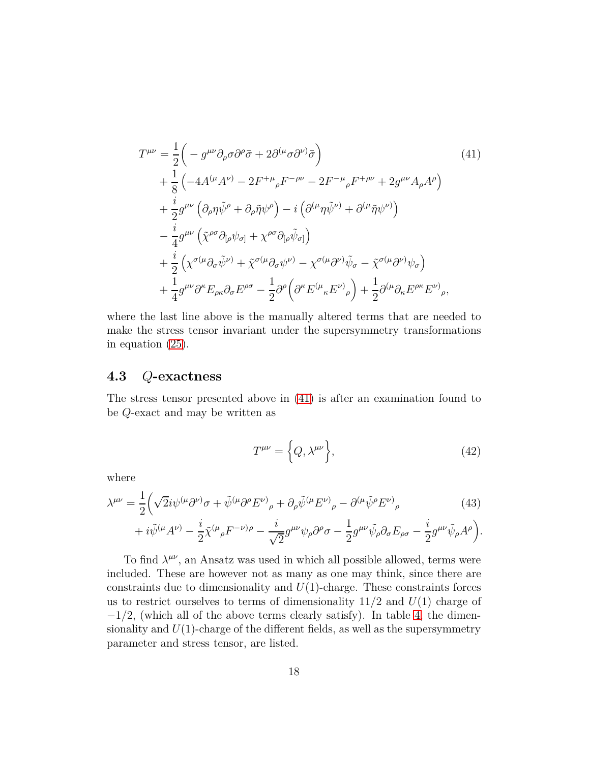<span id="page-17-2"></span>
$$
T^{\mu\nu} = \frac{1}{2} \Big( -g^{\mu\nu} \partial_{\rho} \sigma \partial^{\rho} \bar{\sigma} + 2 \partial^{(\mu} \sigma \partial^{\nu)} \bar{\sigma} \Big)
$$
  
+ 
$$
\frac{1}{8} \Big( -4A^{(\mu} A^{\nu)} - 2F^{+\mu}{}_{\rho} F^{-\rho\nu} - 2F^{-\mu}{}_{\rho} F^{+\rho\nu} + 2g^{\mu\nu} A_{\rho} A^{\rho} \Big)
$$
  
+ 
$$
\frac{i}{2} g^{\mu\nu} \Big( \partial_{\rho} \eta \tilde{\psi}^{\rho} + \partial_{\rho} \tilde{\eta} \psi^{\rho} \Big) - i \Big( \partial^{(\mu} \eta \tilde{\psi}^{\nu)} + \partial^{(\mu} \tilde{\eta} \psi^{\nu)} \Big)
$$
  
- 
$$
\frac{i}{4} g^{\mu\nu} \Big( \tilde{\chi}^{\rho\sigma} \partial_{[\rho} \psi_{\sigma]} + \chi^{\rho\sigma} \partial_{[\rho} \tilde{\psi}_{\sigma]} \Big)
$$
  
+ 
$$
\frac{i}{2} \Big( \chi^{\sigma(\mu} \partial_{\sigma} \tilde{\psi}^{\nu)} + \tilde{\chi}^{\sigma(\mu} \partial_{\sigma} \psi^{\nu)} - \chi^{\sigma(\mu} \partial^{\nu)} \tilde{\psi}_{\sigma} - \tilde{\chi}^{\sigma(\mu} \partial^{\nu)} \psi_{\sigma} \Big)
$$
  
+ 
$$
\frac{1}{4} g^{\mu\nu} \partial^{\kappa} E_{\rho\kappa} \partial_{\sigma} E^{\rho\sigma} - \frac{1}{2} \partial^{\rho} \Big( \partial^{\kappa} E^{(\mu}{}_{\kappa} E^{\nu)}{}_{\rho} \Big) + \frac{1}{2} \partial^{(\mu} \partial_{\kappa} E^{\rho\kappa} E^{\nu)}{}_{\rho},
$$
(11)

<span id="page-17-0"></span>where the last line above is the manually altered terms that are needed to make the stress tensor invariant under the supersymmetry transformations in equation [\(25\)](#page-12-1).

### **4.3** *Q***-exactness**

The stress tensor presented above in [\(41\)](#page-17-2) is after an examination found to be *Q*-exact and may be written as

$$
T^{\mu\nu} = \left\{ Q, \lambda^{\mu\nu} \right\},\tag{42}
$$

where

$$
\lambda^{\mu\nu} = \frac{1}{2} \left( \sqrt{2} i \psi^{(\mu} \partial^{\nu)} \sigma + \tilde{\psi}^{(\mu} \partial^{\rho} E^{\nu)}_{\rho} + \partial_{\rho} \tilde{\psi}^{(\mu} E^{\nu)}_{\rho} - \partial^{(\mu} \tilde{\psi}^{\rho} E^{\nu)}_{\rho} \right)
$$
(43)

$$
+i\tilde{\psi}^{(\mu}A^{\nu)}-\frac{i}{2}\tilde{\chi}^{(\mu}{}_{\rho}F^{-\nu)\rho}-\frac{i}{\sqrt{2}}g^{\mu\nu}\psi_{\rho}\partial^{\rho}\sigma-\frac{1}{2}g^{\mu\nu}\tilde{\psi}_{\rho}\partial_{\sigma}E_{\rho\sigma}-\frac{i}{2}g^{\mu\nu}\tilde{\psi}_{\rho}A^{\rho}\Big).
$$

<span id="page-17-1"></span>To find  $\lambda^{\mu\nu}$ , an Ansatz was used in which all possible allowed, terms were included. These are however not as many as one may think, since there are constraints due to dimensionality and *U*(1)-charge. These constraints forces us to restrict ourselves to terms of dimensionality 11*/*2 and *U*(1) charge of  $-1/2$ , (which all of the above terms clearly satisfy). In table [4,](#page-18-0) the dimensionality and  $U(1)$ -charge of the different fields, as well as the supersymmetry parameter and stress tensor, are listed.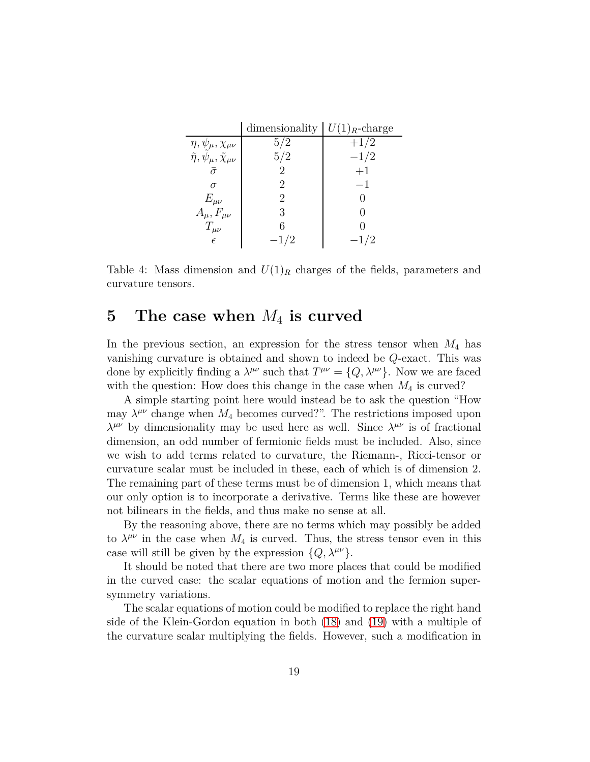|                                                 | dimensionality | $U(1)_R$ -charge |
|-------------------------------------------------|----------------|------------------|
| $\eta, \psi_\mu, \chi_{\mu\nu}$                 | 5/2            | $+1/2$           |
| $\tilde{\eta}, \psi_\mu, \tilde{\chi}_{\mu\nu}$ | 5/2            | $-1/2$           |
|                                                 |                | $+1$             |
|                                                 |                | $-1$             |
| $E_{\mu\nu}$                                    | 2              |                  |
| $A_\mu, F_{\mu\nu}$                             | 3              |                  |
| $T_{\mu\nu}$                                    | 6              |                  |
| $\epsilon$                                      | $-1/2$         | $-1/2$           |

<span id="page-18-0"></span>Table 4: Mass dimension and  $U(1)_R$  charges of the fields, parameters and curvature tensors.

# **5 The case when** *M*<sup>4</sup> **is curved**

In the previous section, an expression for the stress tensor when *M*<sup>4</sup> has vanishing curvature is obtained and shown to indeed be *Q*-exact. This was done by explicitly finding a  $\lambda^{\mu\nu}$  such that  $T^{\mu\nu} = \{Q, \lambda^{\mu\nu}\}\$ . Now we are faced with the question: How does this change in the case when  $M_4$  is curved?

A simple starting point here would instead be to ask the question "How may  $\lambda^{\mu\nu}$  change when  $M_4$  becomes curved?". The restrictions imposed upon *λ<sup>μν</sup>* by dimensionality may be used here as well. Since  $λ^{\mu\nu}$  is of fractional dimension, an odd number of fermionic fields must be included. Also, since we wish to add terms related to curvature, the Riemann-, Ricci-tensor or curvature scalar must be included in these, each of which is of dimension 2. The remaining part of these terms must be of dimension 1, which means that our only option is to incorporate a derivative. Terms like these are however not bilinears in the fields, and thus make no sense at all.

By the reasoning above, there are no terms which may possibly be added to  $\lambda^{\mu\nu}$  in the case when  $M_4$  is curved. Thus, the stress tensor even in this case will still be given by the expression  $\{Q, \lambda^{\mu\nu}\}.$ 

It should be noted that there are two more places that could be modified in the curved case: the scalar equations of motion and the fermion supersymmetry variations.

The scalar equations of motion could be modified to replace the right hand side of the Klein-Gordon equation in both [\(18\)](#page-11-1) and [\(19\)](#page-11-2) with a multiple of the curvature scalar multiplying the fields. However, such a modification in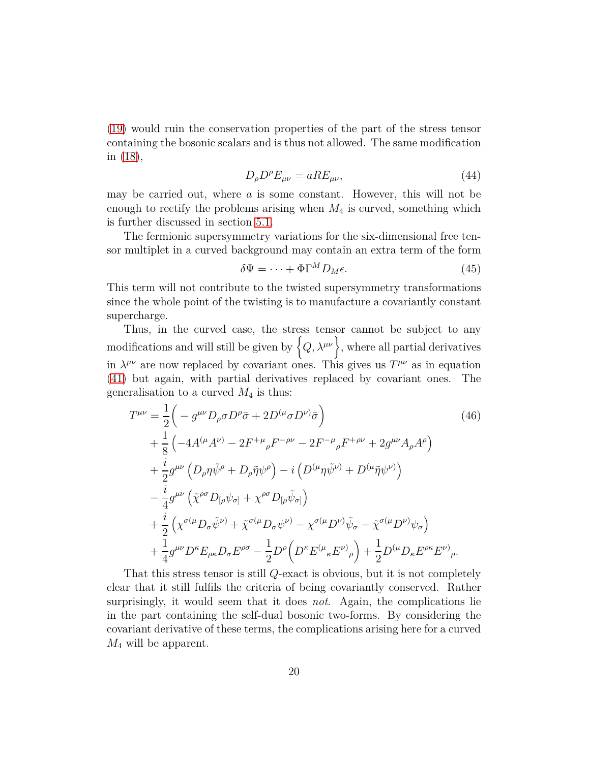[\(19\)](#page-11-2) would ruin the conservation properties of the part of the stress tensor containing the bosonic scalars and is thus not allowed. The same modification in [\(18\)](#page-11-1),

<span id="page-19-1"></span>
$$
D_{\rho}D^{\rho}E_{\mu\nu} = aRE_{\mu\nu},\tag{44}
$$

may be carried out, where *a* is some constant. However, this will not be enough to rectify the problems arising when *M*<sup>4</sup> is curved, something which is further discussed in section [5.1.](#page-19-0)

The fermionic supersymmetry variations for the six-dimensional free tensor multiplet in a curved background may contain an extra term of the form

$$
\delta \Psi = \dots + \Phi \Gamma^M D_M \epsilon. \tag{45}
$$

This term will not contribute to the twisted supersymmetry transformations since the whole point of the twisting is to manufacture a covariantly constant supercharge.

Thus, in the curved case, the stress tensor cannot be subject to any modifications and will still be given by  $\left\{Q, \lambda^{\mu\nu}\right\}$ , where all partial derivatives in  $\lambda^{\mu\nu}$  are now replaced by covariant ones. This gives us  $T^{\mu\nu}$  as in equation [\(41\)](#page-17-2) but again, with partial derivatives replaced by covariant ones. The generalisation to a curved  $M_4$  is thus:

$$
T^{\mu\nu} = \frac{1}{2} \Big( -g^{\mu\nu} D_{\rho} \sigma D^{\rho} \bar{\sigma} + 2D^{(\mu} \sigma D^{\nu)} \bar{\sigma} \Big)
$$
  
+  $\frac{1}{8} \Big( -4A^{(\mu} A^{\nu)} - 2F^{+\mu}{}_{\rho} F^{-\rho\nu} - 2F^{-\mu}{}_{\rho} F^{+\rho\nu} + 2g^{\mu\nu} A_{\rho} A^{\rho} \Big)$   
+  $\frac{i}{2} g^{\mu\nu} \Big( D_{\rho} \eta \tilde{\psi}^{\rho} + D_{\rho} \tilde{\eta} \psi^{\rho} \Big) - i \Big( D^{(\mu} \eta \tilde{\psi}^{\nu)} + D^{(\mu} \tilde{\eta} \psi^{\nu)} \Big)$   
-  $\frac{i}{4} g^{\mu\nu} \Big( \tilde{\chi}^{\rho\sigma} D_{[\rho} \psi_{\sigma]} + \chi^{\rho\sigma} D_{[\rho} \tilde{\psi}_{\sigma]} \Big)$   
+  $\frac{i}{2} \Big( \chi^{\sigma(\mu} D_{\sigma} \tilde{\psi}^{\nu)} + \tilde{\chi}^{\sigma(\mu} D_{\sigma} \psi^{\nu)} - \chi^{\sigma(\mu} D^{\nu)} \tilde{\psi}_{\sigma} - \tilde{\chi}^{\sigma(\mu} D^{\nu)} \psi_{\sigma} \Big)$   
+  $\frac{1}{4} g^{\mu\nu} D^{\kappa} E_{\rho\kappa} D_{\sigma} E^{\rho\sigma} - \frac{1}{2} D^{\rho} \Big( D^{\kappa} E^{(\mu}{}_{\kappa} E^{\nu)}{}_{\rho} \Big) + \frac{1}{2} D^{(\mu} D_{\kappa} E^{\rho\kappa} E^{\nu)}{}_{\rho}.$  (46)

<span id="page-19-0"></span>That this stress tensor is still *Q*-exact is obvious, but it is not completely clear that it still fulfils the criteria of being covariantly conserved. Rather surprisingly, it would seem that it does *not*. Again, the complications lie in the part containing the self-dual bosonic two-forms. By considering the covariant derivative of these terms, the complications arising here for a curved *M*<sup>4</sup> will be apparent.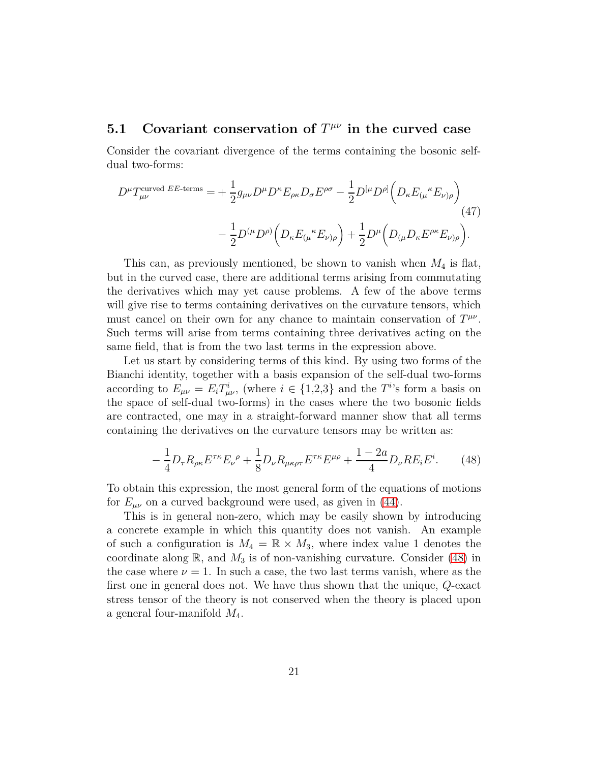## **5.1 Covariant conservation of**  $T^{\mu\nu}$  in the curved case

Consider the covariant divergence of the terms containing the bosonic selfdual two-forms:

$$
D^{\mu}T_{\mu\nu}^{\text{curved }EE\text{-terms}} = +\frac{1}{2}g_{\mu\nu}D^{\mu}D^{\kappa}E_{\rho\kappa}D_{\sigma}E^{\rho\sigma} - \frac{1}{2}D^{[\mu}D^{\rho]}\Big(D_{\kappa}E_{(\mu}{}^{\kappa}E_{\nu)\rho}\Big) - \frac{1}{2}D^{(\mu}D^{\rho)}\Big(D_{\kappa}E_{(\mu}{}^{\kappa}E_{\nu)\rho}\Big) + \frac{1}{2}D^{\mu}\Big(D_{(\mu}D_{\kappa}E^{\rho\kappa}E_{\nu)\rho}\Big).
$$
\n(47)

This can, as previously mentioned, be shown to vanish when *M*<sup>4</sup> is flat, but in the curved case, there are additional terms arising from commutating the derivatives which may yet cause problems. A few of the above terms will give rise to terms containing derivatives on the curvature tensors, which must cancel on their own for any chance to maintain conservation of  $T^{\mu\nu}$ . Such terms will arise from terms containing three derivatives acting on the same field, that is from the two last terms in the expression above.

Let us start by considering terms of this kind. By using two forms of the Bianchi identity, together with a basis expansion of the self-dual two-forms according to  $E_{\mu\nu} = E_i T^i_{\mu\nu}$ , (where  $i \in \{1,2,3\}$  and the *T*<sup>*i*</sup>'s form a basis on the space of self-dual two-forms) in the cases where the two bosonic fields are contracted, one may in a straight-forward manner show that all terms containing the derivatives on the curvature tensors may be written as:

<span id="page-20-1"></span>
$$
-\frac{1}{4}D_{\tau}R_{\rho\kappa}E^{\tau\kappa}E_{\nu}{}^{\rho} + \frac{1}{8}D_{\nu}R_{\mu\kappa\rho\tau}E^{\tau\kappa}E^{\mu\rho} + \frac{1-2a}{4}D_{\nu}RE_{i}E^{i}.
$$
 (48)

To obtain this expression, the most general form of the equations of motions for  $E_{\mu\nu}$  on a curved background were used, as given in [\(44\)](#page-19-1).

<span id="page-20-0"></span>This is in general non-zero, which may be easily shown by introducing a concrete example in which this quantity does not vanish. An example of such a configuration is  $M_4 = \mathbb{R} \times M_3$ , where index value 1 denotes the coordinate along  $\mathbb{R}$ , and  $M_3$  is of non-vanishing curvature. Consider [\(48\)](#page-20-1) in the case where  $\nu = 1$ . In such a case, the two last terms vanish, where as the first one in general does not. We have thus shown that the unique, *Q*-exact stress tensor of the theory is not conserved when the theory is placed upon a general four-manifold *M*4.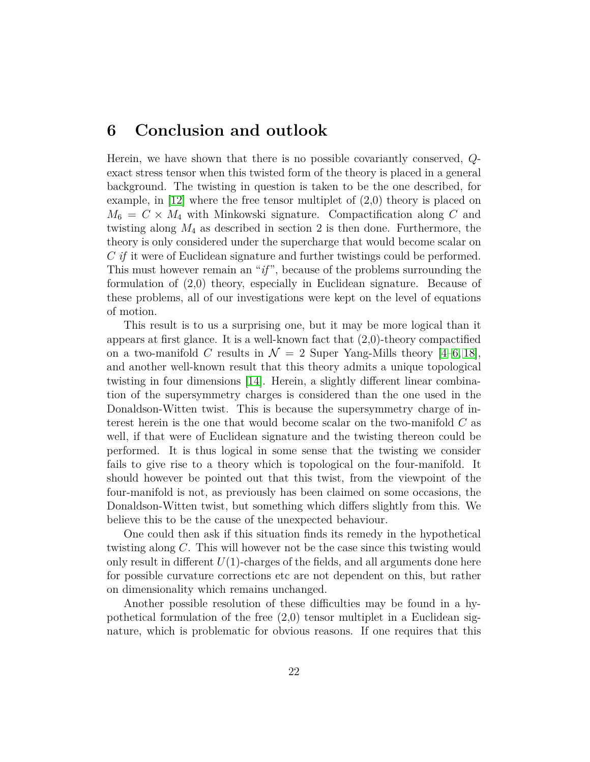### **6 Conclusion and outlook**

Herein, we have shown that there is no possible covariantly conserved, *Q*exact stress tensor when this twisted form of the theory is placed in a general background. The twisting in question is taken to be the one described, for example, in [\[12\]](#page-23-3) where the free tensor multiplet of (2*,*0) theory is placed on  $M_6 = C \times M_4$  with Minkowski signature. Compactification along *C* and twisting along *M*<sup>4</sup> as described in section 2 is then done. Furthermore, the theory is only considered under the supercharge that would become scalar on *C if* it were of Euclidean signature and further twistings could be performed. This must however remain an "*if* ", because of the problems surrounding the formulation of (2*,*0) theory, especially in Euclidean signature. Because of these problems, all of our investigations were kept on the level of equations of motion.

This result is to us a surprising one, but it may be more logical than it appears at first glance. It is a well-known fact that (2*,*0)-theory compactified on a two-manifold C results in  $\mathcal{N} = 2$  Super Yang-Mills theory [\[4–](#page-22-3)[6,](#page-22-4) [18\]](#page-23-9), and another well-known result that this theory admits a unique topological twisting in four dimensions [\[14\]](#page-23-5). Herein, a slightly different linear combination of the supersymmetry charges is considered than the one used in the Donaldson-Witten twist. This is because the supersymmetry charge of interest herein is the one that would become scalar on the two-manifold *C* as well, if that were of Euclidean signature and the twisting thereon could be performed. It is thus logical in some sense that the twisting we consider fails to give rise to a theory which is topological on the four-manifold. It should however be pointed out that this twist, from the viewpoint of the four-manifold is not, as previously has been claimed on some occasions, the Donaldson-Witten twist, but something which differs slightly from this. We believe this to be the cause of the unexpected behaviour.

One could then ask if this situation finds its remedy in the hypothetical twisting along *C*. This will however not be the case since this twisting would only result in different  $U(1)$ -charges of the fields, and all arguments done here for possible curvature corrections etc are not dependent on this, but rather on dimensionality which remains unchanged.

Another possible resolution of these difficulties may be found in a hypothetical formulation of the free (2*,*0) tensor multiplet in a Euclidean signature, which is problematic for obvious reasons. If one requires that this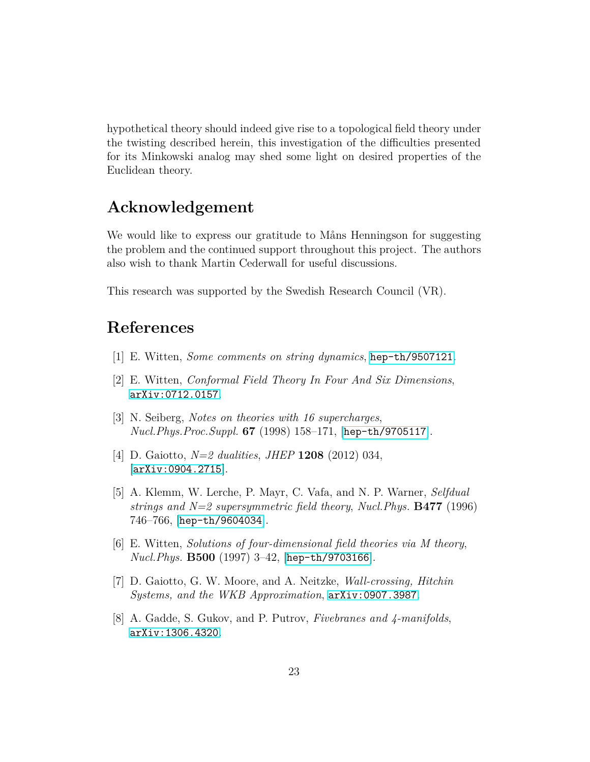hypothetical theory should indeed give rise to a topological field theory under the twisting described herein, this investigation of the difficulties presented for its Minkowski analog may shed some light on desired properties of the Euclidean theory.

# **Acknowledgement**

We would like to express our gratitude to Måns Henningson for suggesting the problem and the continued support throughout this project. The authors also wish to thank Martin Cederwall for useful discussions.

This research was supported by the Swedish Research Council (VR).

### <span id="page-22-0"></span>**References**

- <span id="page-22-1"></span>[1] E. Witten, *Some comments on string dynamics*, [hep-th/9507121](http://xxx.lanl.gov/abs/hep-th/9507121).
- <span id="page-22-2"></span>[2] E. Witten, *Conformal Field Theory In Four And Six Dimensions*, [arXiv:0712.0157](http://xxx.lanl.gov/abs/0712.0157).
- <span id="page-22-3"></span>[3] N. Seiberg, *Notes on theories with 16 supercharges*, *Nucl.Phys.Proc.Suppl.* **67** (1998) 158–171, [[hep-th/9705117](http://xxx.lanl.gov/abs/hep-th/9705117)].
- [4] D. Gaiotto, *N=2 dualities*, *JHEP* **1208** (2012) 034,  $\vert$ [arXiv:0904.2715](http://xxx.lanl.gov/abs/0904.2715) $\vert$ .
- [5] A. Klemm, W. Lerche, P. Mayr, C. Vafa, and N. P. Warner, *Selfdual strings and N=2 supersymmetric field theory*, *Nucl.Phys.* **B477** (1996) 746–766, [[hep-th/9604034](http://xxx.lanl.gov/abs/hep-th/9604034)].
- <span id="page-22-4"></span>[6] E. Witten, *Solutions of four-dimensional field theories via M theory*, *Nucl.Phys.* **B500** (1997) 3–42, [[hep-th/9703166](http://xxx.lanl.gov/abs/hep-th/9703166)].
- <span id="page-22-6"></span><span id="page-22-5"></span>[7] D. Gaiotto, G. W. Moore, and A. Neitzke, *Wall-crossing, Hitchin Systems, and the WKB Approximation*, [arXiv:0907.3987](http://xxx.lanl.gov/abs/0907.3987).
- [8] A. Gadde, S. Gukov, and P. Putrov, *Fivebranes and 4-manifolds*, [arXiv:1306.4320](http://xxx.lanl.gov/abs/1306.4320).